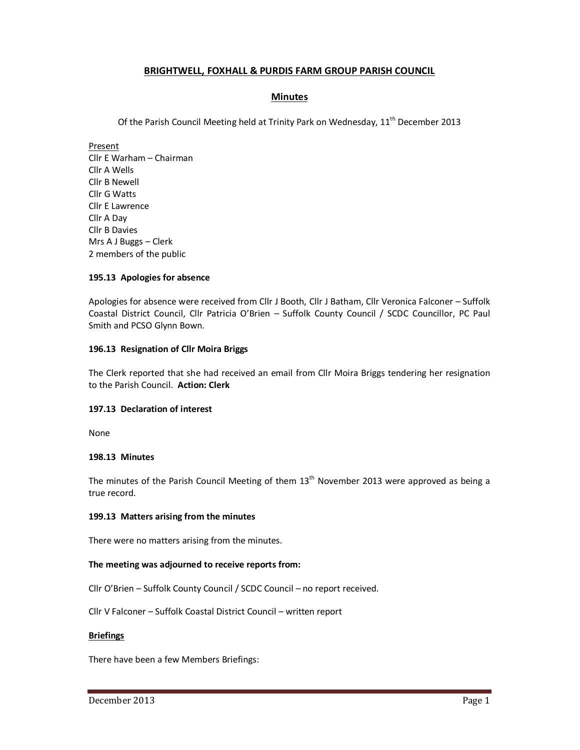# **BRIGHTWELL, FOXHALL & PURDIS FARM GROUP PARISH COUNCIL**

# **Minutes**

Of the Parish Council Meeting held at Trinity Park on Wednesday,  $11<sup>th</sup>$  December 2013

Present Cllr E Warham – Chairman Cllr A Wells Cllr B Newell Cllr G Watts Cllr E Lawrence Cllr A Day Cllr B Davies Mrs A J Buggs – Clerk 2 members of the public

### **195.13 Apologies for absence**

Apologies for absence were received from Cllr J Booth, Cllr J Batham, Cllr Veronica Falconer – Suffolk Coastal District Council, Cllr Patricia O'Brien – Suffolk County Council / SCDC Councillor, PC Paul Smith and PCSO Glynn Bown.

#### **196.13 Resignation of Cllr Moira Briggs**

The Clerk reported that she had received an email from Cllr Moira Briggs tendering her resignation to the Parish Council. **Action: Clerk** 

#### **197.13 Declaration of interest**

None

#### **198.13 Minutes**

The minutes of the Parish Council Meeting of them  $13<sup>th</sup>$  November 2013 were approved as being a true record.

#### **199.13 Matters arising from the minutes**

There were no matters arising from the minutes.

#### **The meeting was adjourned to receive reports from:**

Cllr O'Brien – Suffolk County Council / SCDC Council – no report received.

Cllr V Falconer – Suffolk Coastal District Council – written report

#### **Briefings**

There have been a few Members Briefings: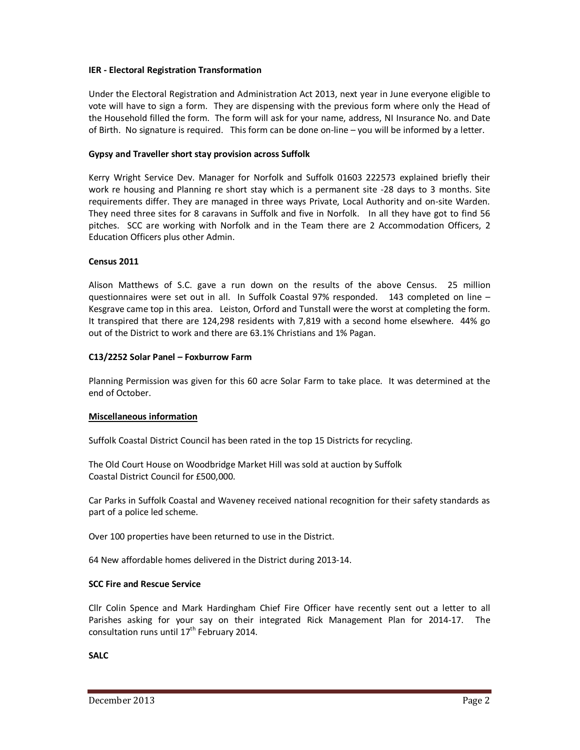# **IER - Electoral Registration Transformation**

Under the Electoral Registration and Administration Act 2013, next year in June everyone eligible to vote will have to sign a form. They are dispensing with the previous form where only the Head of the Household filled the form. The form will ask for your name, address, NI Insurance No. and Date of Birth. No signature is required. This form can be done on-line – you will be informed by a letter.

# **Gypsy and Traveller short stay provision across Suffolk**

Kerry Wright Service Dev. Manager for Norfolk and Suffolk 01603 222573 explained briefly their work re housing and Planning re short stay which is a permanent site -28 days to 3 months. Site requirements differ. They are managed in three ways Private, Local Authority and on-site Warden. They need three sites for 8 caravans in Suffolk and five in Norfolk. In all they have got to find 56 pitches. SCC are working with Norfolk and in the Team there are 2 Accommodation Officers, 2 Education Officers plus other Admin.

#### **Census 2011**

Alison Matthews of S.C. gave a run down on the results of the above Census. 25 million questionnaires were set out in all. In Suffolk Coastal 97% responded. 143 completed on line – Kesgrave came top in this area. Leiston, Orford and Tunstall were the worst at completing the form. It transpired that there are 124,298 residents with 7,819 with a second home elsewhere. 44% go out of the District to work and there are 63.1% Christians and 1% Pagan.

### **C13/2252 Solar Panel – Foxburrow Farm**

Planning Permission was given for this 60 acre Solar Farm to take place. It was determined at the end of October.

#### **Miscellaneous information**

Suffolk Coastal District Council has been rated in the top 15 Districts for recycling.

The Old Court House on Woodbridge Market Hill was sold at auction by Suffolk Coastal District Council for £500,000.

Car Parks in Suffolk Coastal and Waveney received national recognition for their safety standards as part of a police led scheme.

Over 100 properties have been returned to use in the District.

64 New affordable homes delivered in the District during 2013-14.

# **SCC Fire and Rescue Service**

Cllr Colin Spence and Mark Hardingham Chief Fire Officer have recently sent out a letter to all Parishes asking for your say on their integrated Rick Management Plan for 2014-17. The consultation runs until 17<sup>th</sup> February 2014.

# **SALC**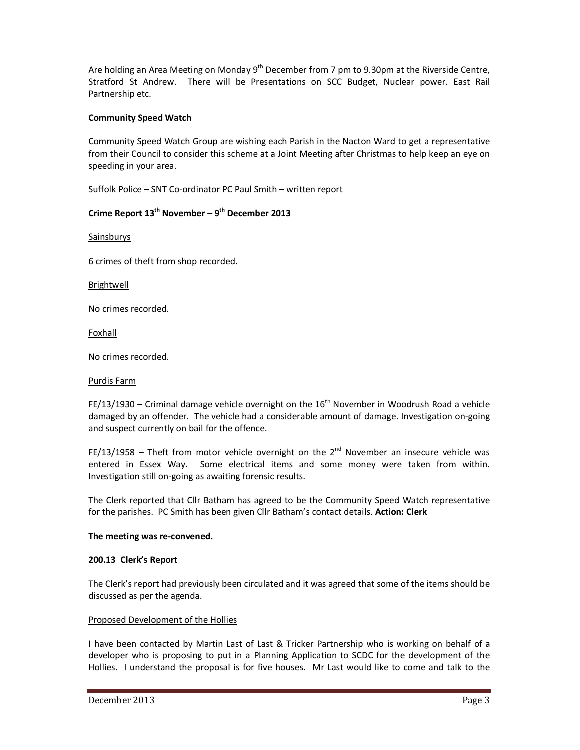Are holding an Area Meeting on Monday 9<sup>th</sup> December from 7 pm to 9.30pm at the Riverside Centre, Stratford St Andrew. There will be Presentations on SCC Budget, Nuclear power. East Rail Partnership etc.

# **Community Speed Watch**

Community Speed Watch Group are wishing each Parish in the Nacton Ward to get a representative from their Council to consider this scheme at a Joint Meeting after Christmas to help keep an eye on speeding in your area.

Suffolk Police – SNT Co-ordinator PC Paul Smith – written report

# **Crime Report 13th November – 9th December 2013**

Sainsburys

6 crimes of theft from shop recorded.

**Brightwell** 

No crimes recorded.

Foxhall

No crimes recorded.

#### Purdis Farm

FE/13/1930 – Criminal damage vehicle overnight on the  $16<sup>th</sup>$  November in Woodrush Road a vehicle damaged by an offender. The vehicle had a considerable amount of damage. Investigation on-going and suspect currently on bail for the offence.

FE/13/1958 – Theft from motor vehicle overnight on the  $2^{nd}$  November an insecure vehicle was entered in Essex Way. Some electrical items and some money were taken from within. Investigation still on-going as awaiting forensic results.

The Clerk reported that Cllr Batham has agreed to be the Community Speed Watch representative for the parishes. PC Smith has been given Cllr Batham's contact details. **Action: Clerk** 

# **The meeting was re-convened.**

# **200.13 Clerk's Report**

The Clerk's report had previously been circulated and it was agreed that some of the items should be discussed as per the agenda.

# Proposed Development of the Hollies

I have been contacted by Martin Last of Last & Tricker Partnership who is working on behalf of a developer who is proposing to put in a Planning Application to SCDC for the development of the Hollies. I understand the proposal is for five houses. Mr Last would like to come and talk to the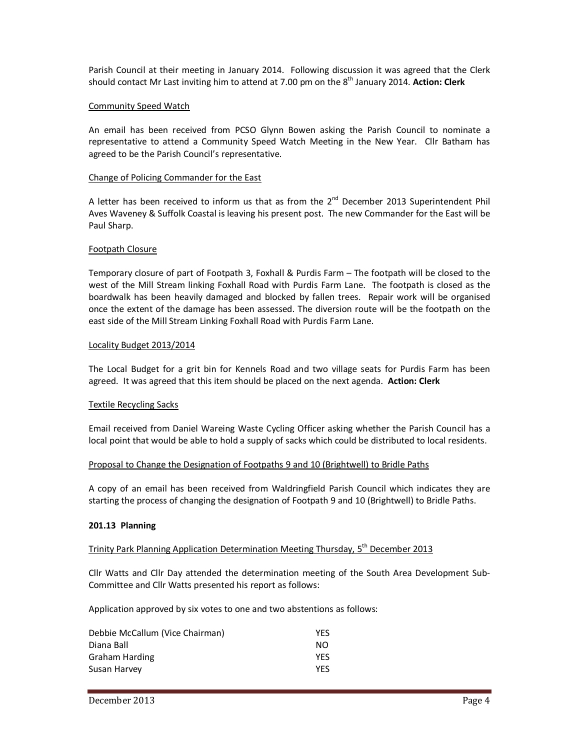Parish Council at their meeting in January 2014. Following discussion it was agreed that the Clerk should contact Mr Last inviting him to attend at 7.00 pm on the 8<sup>th</sup> January 2014. **Action: Clerk** 

#### Community Speed Watch

An email has been received from PCSO Glynn Bowen asking the Parish Council to nominate a representative to attend a Community Speed Watch Meeting in the New Year. Cllr Batham has agreed to be the Parish Council's representative.

#### Change of Policing Commander for the East

A letter has been received to inform us that as from the  $2<sup>nd</sup>$  December 2013 Superintendent Phil Aves Waveney & Suffolk Coastal is leaving his present post. The new Commander for the East will be Paul Sharp.

#### Footpath Closure

Temporary closure of part of Footpath 3, Foxhall & Purdis Farm – The footpath will be closed to the west of the Mill Stream linking Foxhall Road with Purdis Farm Lane. The footpath is closed as the boardwalk has been heavily damaged and blocked by fallen trees. Repair work will be organised once the extent of the damage has been assessed. The diversion route will be the footpath on the east side of the Mill Stream Linking Foxhall Road with Purdis Farm Lane.

#### Locality Budget 2013/2014

The Local Budget for a grit bin for Kennels Road and two village seats for Purdis Farm has been agreed. It was agreed that this item should be placed on the next agenda. **Action: Clerk** 

#### Textile Recycling Sacks

Email received from Daniel Wareing Waste Cycling Officer asking whether the Parish Council has a local point that would be able to hold a supply of sacks which could be distributed to local residents.

#### Proposal to Change the Designation of Footpaths 9 and 10 (Brightwell) to Bridle Paths

A copy of an email has been received from Waldringfield Parish Council which indicates they are starting the process of changing the designation of Footpath 9 and 10 (Brightwell) to Bridle Paths.

#### **201.13 Planning**

#### Trinity Park Planning Application Determination Meeting Thursday, 5<sup>th</sup> December 2013

Cllr Watts and Cllr Day attended the determination meeting of the South Area Development Sub-Committee and Cllr Watts presented his report as follows:

Application approved by six votes to one and two abstentions as follows:

| Debbie McCallum (Vice Chairman) | <b>YFS</b> |
|---------------------------------|------------|
| Diana Ball                      | NO.        |
| Graham Harding                  | <b>YFS</b> |
| Susan Harvey                    | YFS        |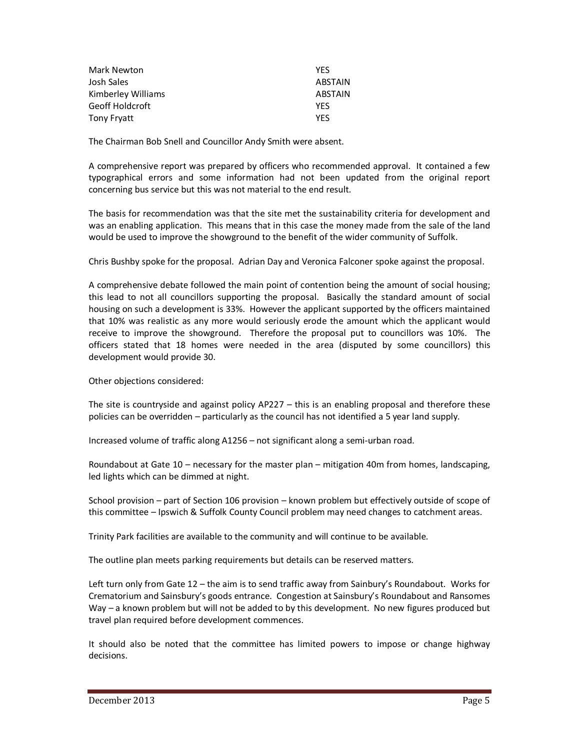| Mark Newton        | <b>YFS</b> |
|--------------------|------------|
| Josh Sales         | ABSTAIN    |
| Kimberley Williams | ABSTAIN    |
| Geoff Holdcroft    | <b>YFS</b> |
| Tony Fryatt        | YFS        |

The Chairman Bob Snell and Councillor Andy Smith were absent.

A comprehensive report was prepared by officers who recommended approval. It contained a few typographical errors and some information had not been updated from the original report concerning bus service but this was not material to the end result.

The basis for recommendation was that the site met the sustainability criteria for development and was an enabling application. This means that in this case the money made from the sale of the land would be used to improve the showground to the benefit of the wider community of Suffolk.

Chris Bushby spoke for the proposal. Adrian Day and Veronica Falconer spoke against the proposal.

A comprehensive debate followed the main point of contention being the amount of social housing; this lead to not all councillors supporting the proposal. Basically the standard amount of social housing on such a development is 33%. However the applicant supported by the officers maintained that 10% was realistic as any more would seriously erode the amount which the applicant would receive to improve the showground. Therefore the proposal put to councillors was 10%. The officers stated that 18 homes were needed in the area (disputed by some councillors) this development would provide 30.

Other objections considered:

The site is countryside and against policy AP227 – this is an enabling proposal and therefore these policies can be overridden – particularly as the council has not identified a 5 year land supply.

Increased volume of traffic along A1256 – not significant along a semi-urban road.

Roundabout at Gate 10 – necessary for the master plan – mitigation 40m from homes, landscaping, led lights which can be dimmed at night.

School provision – part of Section 106 provision – known problem but effectively outside of scope of this committee – Ipswich & Suffolk County Council problem may need changes to catchment areas.

Trinity Park facilities are available to the community and will continue to be available.

The outline plan meets parking requirements but details can be reserved matters.

Left turn only from Gate 12 – the aim is to send traffic away from Sainbury's Roundabout. Works for Crematorium and Sainsbury's goods entrance. Congestion at Sainsbury's Roundabout and Ransomes Way – a known problem but will not be added to by this development. No new figures produced but travel plan required before development commences.

It should also be noted that the committee has limited powers to impose or change highway decisions.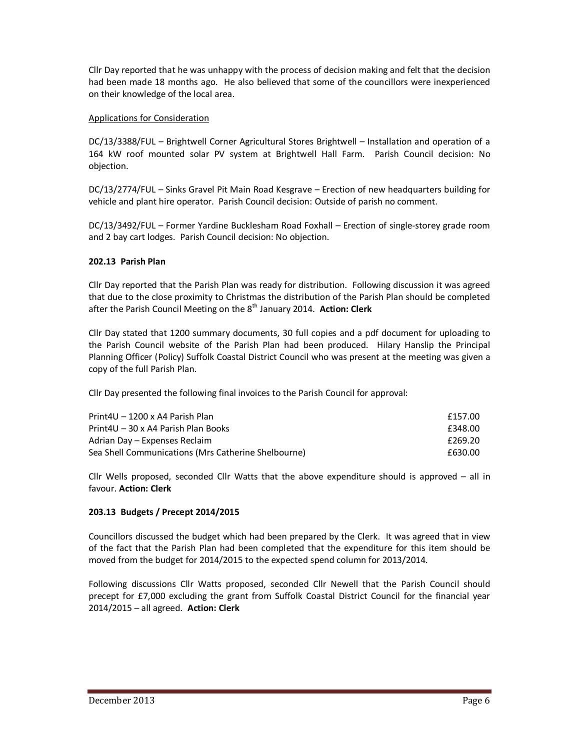Cllr Day reported that he was unhappy with the process of decision making and felt that the decision had been made 18 months ago. He also believed that some of the councillors were inexperienced on their knowledge of the local area.

# Applications for Consideration

DC/13/3388/FUL – Brightwell Corner Agricultural Stores Brightwell – Installation and operation of a 164 kW roof mounted solar PV system at Brightwell Hall Farm. Parish Council decision: No objection.

DC/13/2774/FUL – Sinks Gravel Pit Main Road Kesgrave – Erection of new headquarters building for vehicle and plant hire operator. Parish Council decision: Outside of parish no comment.

DC/13/3492/FUL – Former Yardine Bucklesham Road Foxhall – Erection of single-storey grade room and 2 bay cart lodges. Parish Council decision: No objection.

### **202.13 Parish Plan**

Cllr Day reported that the Parish Plan was ready for distribution. Following discussion it was agreed that due to the close proximity to Christmas the distribution of the Parish Plan should be completed after the Parish Council Meeting on the 8<sup>th</sup> January 2014. Action: Clerk

Cllr Day stated that 1200 summary documents, 30 full copies and a pdf document for uploading to the Parish Council website of the Parish Plan had been produced. Hilary Hanslip the Principal Planning Officer (Policy) Suffolk Coastal District Council who was present at the meeting was given a copy of the full Parish Plan.

Cllr Day presented the following final invoices to the Parish Council for approval:

| Print4U - 1200 x A4 Parish Plan                     | £157.00 |
|-----------------------------------------------------|---------|
| Print4U – 30 x A4 Parish Plan Books                 | £348.00 |
| Adrian Day – Expenses Reclaim                       | £269.20 |
| Sea Shell Communications (Mrs Catherine Shelbourne) | £630.00 |

Cllr Wells proposed, seconded Cllr Watts that the above expenditure should is approved – all in favour. **Action: Clerk** 

# **203.13 Budgets / Precept 2014/2015**

Councillors discussed the budget which had been prepared by the Clerk. It was agreed that in view of the fact that the Parish Plan had been completed that the expenditure for this item should be moved from the budget for 2014/2015 to the expected spend column for 2013/2014.

Following discussions Cllr Watts proposed, seconded Cllr Newell that the Parish Council should precept for £7,000 excluding the grant from Suffolk Coastal District Council for the financial year 2014/2015 – all agreed. **Action: Clerk**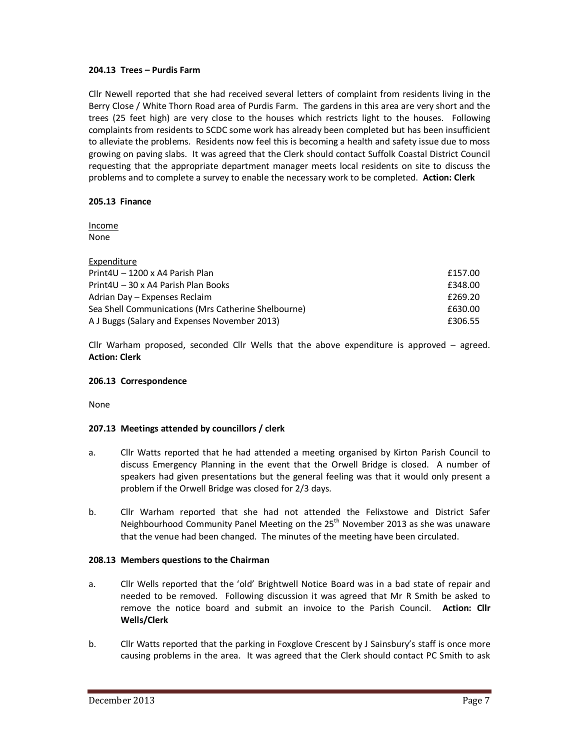### **204.13 Trees – Purdis Farm**

Cllr Newell reported that she had received several letters of complaint from residents living in the Berry Close / White Thorn Road area of Purdis Farm. The gardens in this area are very short and the trees (25 feet high) are very close to the houses which restricts light to the houses. Following complaints from residents to SCDC some work has already been completed but has been insufficient to alleviate the problems. Residents now feel this is becoming a health and safety issue due to moss growing on paving slabs. It was agreed that the Clerk should contact Suffolk Coastal District Council requesting that the appropriate department manager meets local residents on site to discuss the problems and to complete a survey to enable the necessary work to be completed. **Action: Clerk** 

# **205.13 Finance**

Income None

| Expenditure                                         |         |
|-----------------------------------------------------|---------|
| Print4U - 1200 x A4 Parish Plan                     | £157.00 |
| Print4U – 30 x A4 Parish Plan Books                 | £348.00 |
| Adrian Day - Expenses Reclaim                       | £269.20 |
| Sea Shell Communications (Mrs Catherine Shelbourne) | £630.00 |
| A J Buggs (Salary and Expenses November 2013)       | £306.55 |

Cllr Warham proposed, seconded Cllr Wells that the above expenditure is approved – agreed. **Action: Clerk** 

#### **206.13 Correspondence**

None

# **207.13 Meetings attended by councillors / clerk**

- a. Cllr Watts reported that he had attended a meeting organised by Kirton Parish Council to discuss Emergency Planning in the event that the Orwell Bridge is closed. A number of speakers had given presentations but the general feeling was that it would only present a problem if the Orwell Bridge was closed for 2/3 days.
- b. Cllr Warham reported that she had not attended the Felixstowe and District Safer Neighbourhood Community Panel Meeting on the 25<sup>th</sup> November 2013 as she was unaware that the venue had been changed. The minutes of the meeting have been circulated.

# **208.13 Members questions to the Chairman**

- a. Cllr Wells reported that the 'old' Brightwell Notice Board was in a bad state of repair and needed to be removed. Following discussion it was agreed that Mr R Smith be asked to remove the notice board and submit an invoice to the Parish Council. **Action: Cllr Wells/Clerk**
- b. Cllr Watts reported that the parking in Foxglove Crescent by J Sainsbury's staff is once more causing problems in the area. It was agreed that the Clerk should contact PC Smith to ask